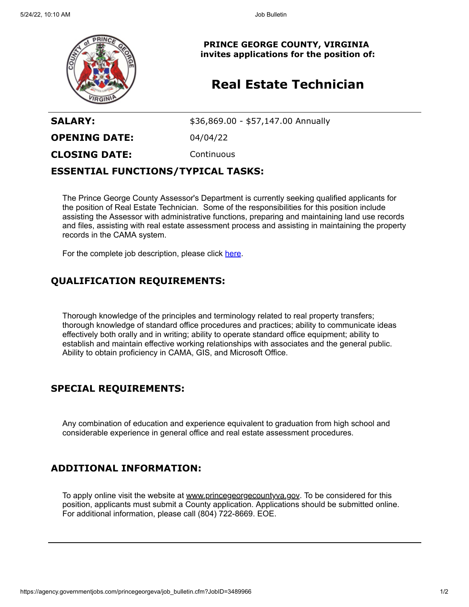

**PRINCE GEORGE COUNTY, VIRGINIA invites applications for the position of:**

# **Real Estate Technician**

**SALARY:**  $$36,869.00 - $57,147.00$  Annually

**OPENING DATE:** 04/04/22

**CLOSING DATE:** Continuous

#### **ESSENTIAL FUNCTIONS/TYPICAL TASKS:**

The Prince George County Assessor's Department is currently seeking qualified applicants for the position of Real Estate Technician. Some of the responsibilities for this position include assisting the Assessor with administrative functions, preparing and maintaining land use records and files, assisting with real estate assessment process and assisting in maintaining the property records in the CAMA system.

For the complete job description, please click [here.](https://cms1files.revize.com/princegeorgeva/Real%20Estate%20Appraisal%20Technician.pdf)

## **QUALIFICATION REQUIREMENTS:**

Thorough knowledge of the principles and terminology related to real property transfers; thorough knowledge of standard office procedures and practices; ability to communicate ideas effectively both orally and in writing; ability to operate standard office equipment; ability to establish and maintain effective working relationships with associates and the general public. Ability to obtain proficiency in CAMA, GIS, and Microsoft Office.

## **SPECIAL REQUIREMENTS:**

Any combination of education and experience equivalent to graduation from high school and considerable experience in general office and real estate assessment procedures.

### **ADDITIONAL INFORMATION:**

To apply online visit the website at [www.princegeorgecountyva.gov](http://www.princegeorgecountyva.gov/). To be considered for this position, applicants must submit a County application. Applications should be submitted online. For additional information, please call (804) 722-8669. EOE.